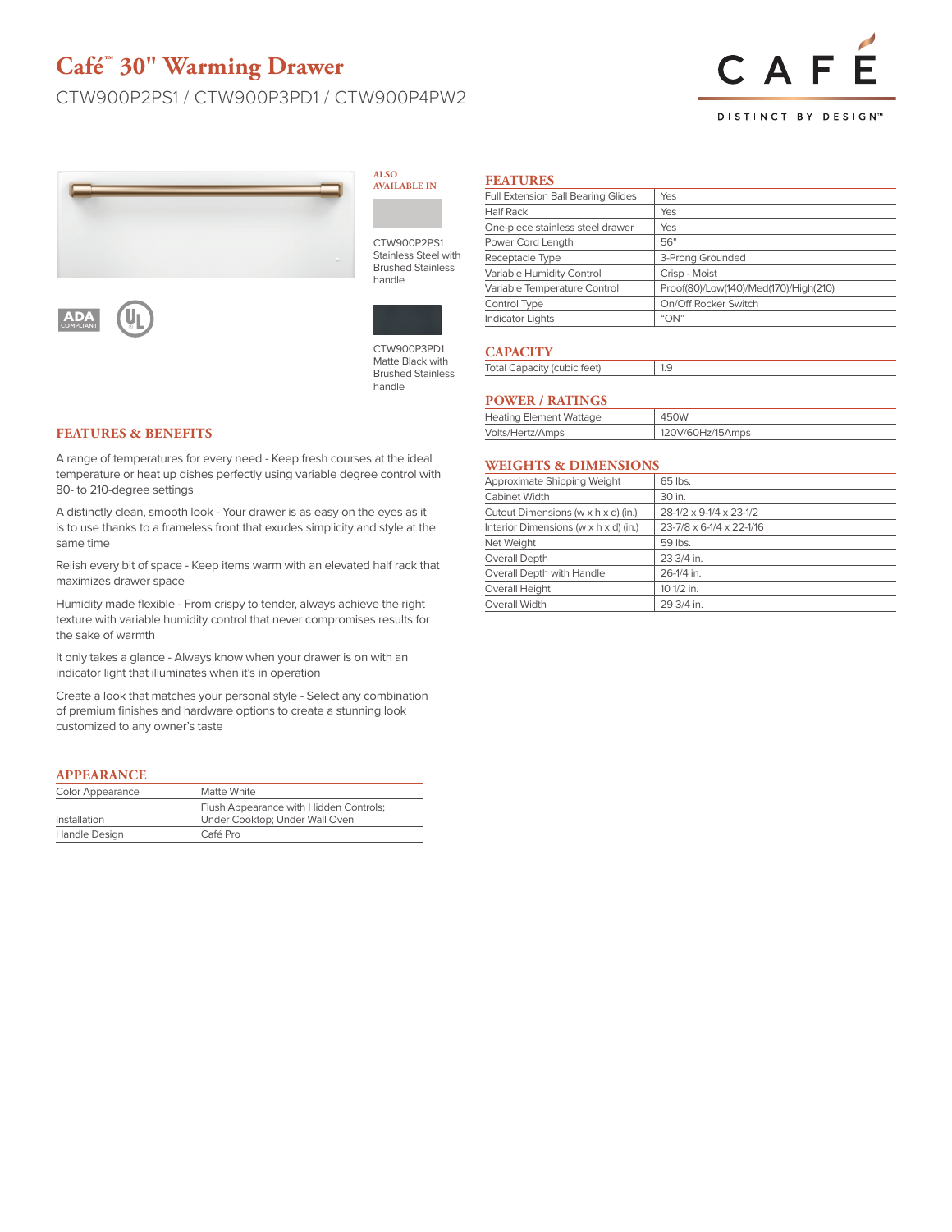# **Café™ 30" Warming Drawer**

# CTW900P2PS1 / CTW900P3PD1 / CTW900P4PW2



#### **DISTINCT BY DESIGN™**



#### **ALSO AVAILABLE I**

CTW900P2 Stainless Ste **Brushed Stai** handle



CTW900P3PD1 Matte Black with Brushed Stainless handle

### **FEATURES & BENEFITS**

ADA COMPLIANT

A range of temperatures for every need - Keep fresh courses at the ideal temperature or heat up dishes perfectly using variable degree control with 80- to 210-degree settings

A distinctly clean, smooth look - Your drawer is as easy on the eyes as it is to use thanks to a frameless front that exudes simplicity and style at the same time

Relish every bit of space - Keep items warm with an elevated half rack that maximizes drawer space

Humidity made flexible - From crispy to tender, always achieve the right texture with variable humidity control that never compromises results for the sake of warmth

It only takes a glance - Always know when your drawer is on with an indicator light that illuminates when it's in operation

Create a look that matches your personal style - Select any combination of premium finishes and hardware options to create a stunning look customized to any owner's taste

#### **APPEARANCE**

| Color Appearance | Matte White                                                              |
|------------------|--------------------------------------------------------------------------|
| Installation     | Flush Appearance with Hidden Controls;<br>Under Cooktop; Under Wall Oven |
| Handle Design    | Café Pro                                                                 |

| Full Extension Ball Bearing Glides | Yes                                   |  |
|------------------------------------|---------------------------------------|--|
| <b>Half Rack</b>                   | <b>Yes</b>                            |  |
| One-piece stainless steel drawer   | Yes                                   |  |
| Power Cord Length                  | 56"                                   |  |
| Receptacle Type                    | 3-Prong Grounded                      |  |
| Variable Humidity Control          | Crisp - Moist                         |  |
| Variable Temperature Control       | Proof(80)/Low(140)/Med(170)/High(210) |  |
| Control Type                       | On/Off Rocker Switch                  |  |
| <b>Indicator Lights</b>            | "ON"                                  |  |

## **CAPACITY**

| 1.9<br><b>Total Capacity (cubic feet)</b> |  |
|-------------------------------------------|--|
|-------------------------------------------|--|

#### **POWER / RATINGS**

| <b>Heating Element Wattage</b> | 450W             |
|--------------------------------|------------------|
| Volts/Hertz/Amps               | 120V/60Hz/15Amps |

### **WEIGHTS & DIMENSIONS**

| Approximate Shipping Weight           | 65 lbs.                  |
|---------------------------------------|--------------------------|
| Cabinet Width                         | 30 in.                   |
| Cutout Dimensions (w x h x d) (in.)   | 28-1/2 x 9-1/4 x 23-1/2  |
| Interior Dimensions (w x h x d) (in.) | 23-7/8 x 6-1/4 x 22-1/16 |
| Net Weight                            | 59 lbs.                  |
| Overall Depth                         | 23 3/4 in.               |
| Overall Depth with Handle             | 26-1/4 in.               |
| Overall Height                        | 10 1/2 in.               |
| Overall Width                         | 29 3/4 in.               |
|                                       |                          |